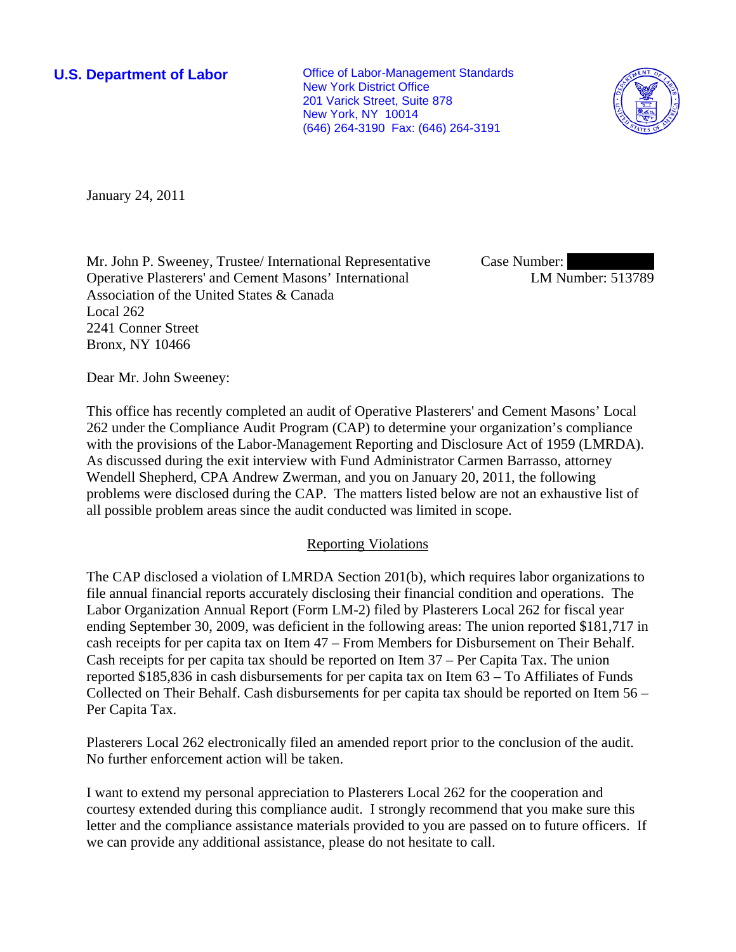**U.S. Department of Labor Conservative Conservative Conservative Conservative Conservative Conservative Conservative Conservative Conservative Conservative Conservative Conservative Conservative Conservative Conservative** New York District Office 201 Varick Street, Suite 878 New York, NY 10014 (646) 264-3190 Fax: (646) 264-3191



January 24, 2011

Mr. John P. Sweeney, Trustee/ International Representative Operative Plasterers' and Cement Masons' International Association of the United States & Canada Local 262 2241 Conner Street Bronx, NY 10466

Case Number: LM Number: 513789

Dear Mr. John Sweeney:

This office has recently completed an audit of Operative Plasterers' and Cement Masons' Local 262 under the Compliance Audit Program (CAP) to determine your organization's compliance with the provisions of the Labor-Management Reporting and Disclosure Act of 1959 (LMRDA). As discussed during the exit interview with Fund Administrator Carmen Barrasso, attorney Wendell Shepherd, CPA Andrew Zwerman, and you on January 20, 2011, the following problems were disclosed during the CAP. The matters listed below are not an exhaustive list of all possible problem areas since the audit conducted was limited in scope.

## Reporting Violations

The CAP disclosed a violation of LMRDA Section 201(b), which requires labor organizations to file annual financial reports accurately disclosing their financial condition and operations. The Labor Organization Annual Report (Form LM-2) filed by Plasterers Local 262 for fiscal year ending September 30, 2009, was deficient in the following areas: The union reported \$181,717 in cash receipts for per capita tax on Item 47 – From Members for Disbursement on Their Behalf. Cash receipts for per capita tax should be reported on Item 37 – Per Capita Tax. The union reported \$185,836 in cash disbursements for per capita tax on Item 63 – To Affiliates of Funds Collected on Their Behalf. Cash disbursements for per capita tax should be reported on Item 56 – Per Capita Tax.

Plasterers Local 262 electronically filed an amended report prior to the conclusion of the audit. No further enforcement action will be taken.

I want to extend my personal appreciation to Plasterers Local 262 for the cooperation and courtesy extended during this compliance audit. I strongly recommend that you make sure this letter and the compliance assistance materials provided to you are passed on to future officers. If we can provide any additional assistance, please do not hesitate to call.